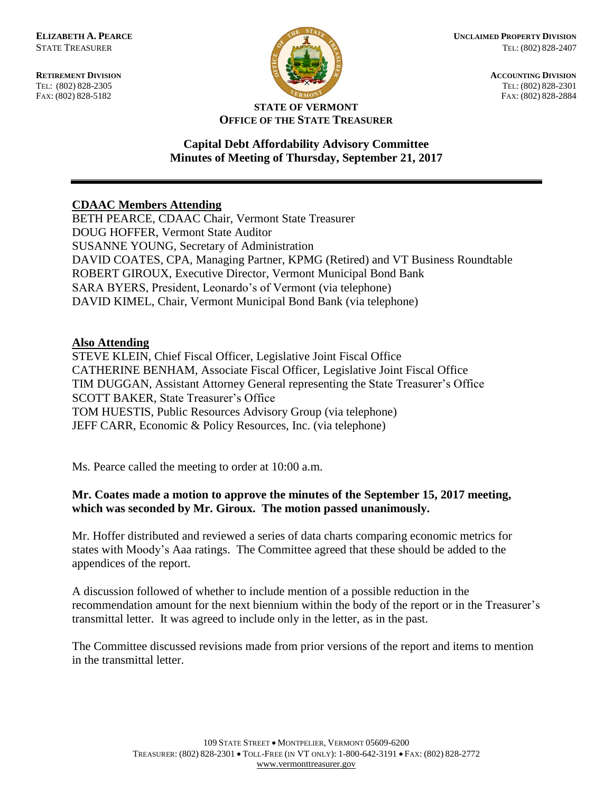FAX: (802) 828-5182



**RETIREMENT DIVISION ACCOUNTING DIVISION** TEL: (802) 828-2305<br>
FAX: (802) 828-2305<br>
FAX: (802) 828-2384<br>
TEL: (802) 828-2301<br>
FAX: (802) 828-2884

#### **STATE OF VERMONT OFFICE OF THE STATE TREASURER**

# **Capital Debt Affordability Advisory Committee Minutes of Meeting of Thursday, September 21, 2017**

# **CDAAC Members Attending**

BETH PEARCE, CDAAC Chair, Vermont State Treasurer DOUG HOFFER, Vermont State Auditor SUSANNE YOUNG, Secretary of Administration DAVID COATES, CPA, Managing Partner, KPMG (Retired) and VT Business Roundtable ROBERT GIROUX, Executive Director, Vermont Municipal Bond Bank SARA BYERS, President, Leonardo's of Vermont (via telephone) DAVID KIMEL, Chair, Vermont Municipal Bond Bank (via telephone)

### **Also Attending**

STEVE KLEIN, Chief Fiscal Officer, Legislative Joint Fiscal Office CATHERINE BENHAM, Associate Fiscal Officer, Legislative Joint Fiscal Office TIM DUGGAN, Assistant Attorney General representing the State Treasurer's Office SCOTT BAKER, State Treasurer's Office TOM HUESTIS, Public Resources Advisory Group (via telephone) JEFF CARR, Economic & Policy Resources, Inc. (via telephone)

Ms. Pearce called the meeting to order at 10:00 a.m.

# **Mr. Coates made a motion to approve the minutes of the September 15, 2017 meeting, which was seconded by Mr. Giroux. The motion passed unanimously.**

Mr. Hoffer distributed and reviewed a series of data charts comparing economic metrics for states with Moody's Aaa ratings. The Committee agreed that these should be added to the appendices of the report.

A discussion followed of whether to include mention of a possible reduction in the recommendation amount for the next biennium within the body of the report or in the Treasurer's transmittal letter. It was agreed to include only in the letter, as in the past.

The Committee discussed revisions made from prior versions of the report and items to mention in the transmittal letter.